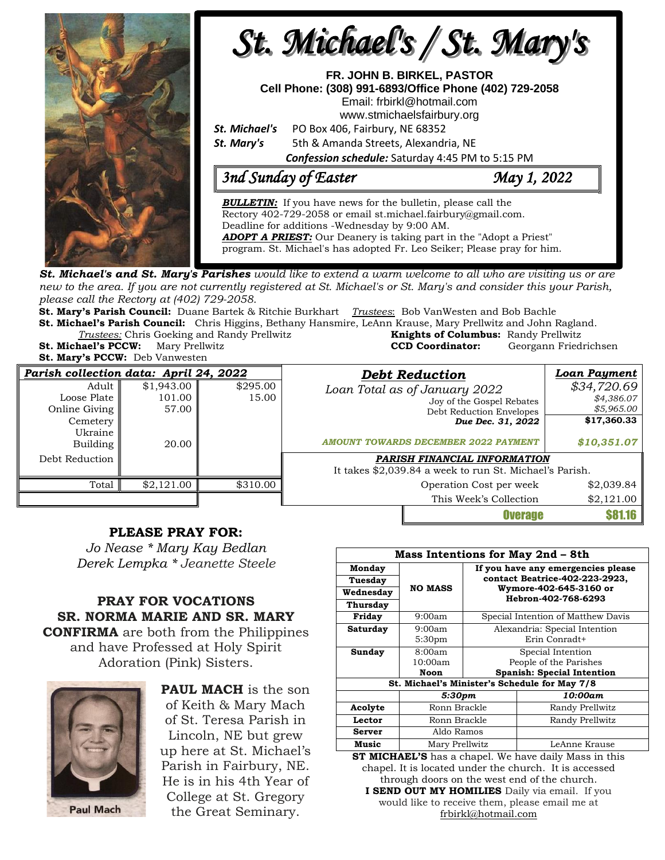

**St. Michael's and St. Mary's Parishes** would like to extend a warm welcome to all who are visiting us or are new to the area. If you are not currently registered at St. Michael's or St. Mary's and consider this your Parish, *please call the Rectory at (402) 729-2058.* 

**St. Mary's Parish Council:** Duane Bartek & Ritchie Burkhart *Trustees*: Bob VanWesten and Bob Bachle **St. Michael's Parish Council:** Chris Higgins, Bethany Hansmire, LeAnn Krause, Mary Prellwitz and John Ragland.

**Trustees:** Chris Goeking and Randy Prellwitz **St. Michael's PCCW:** Mary Prellwitz **CCD Coordinator:** Georgann Friedrichsen

**St. Mary's PCCW:** Deb Vanwesten

| <b>Knights of Columbus:</b> Randy Prellwitz |                      |
|---------------------------------------------|----------------------|
| <b>CCD Coordinator:</b>                     | Georgann Friedrichse |
|                                             |                      |

| Parish collection data: April 24, 2022                       |                               |                   | <b>Debt Reduction</b>                                                                                       | Loan Payment                                           |
|--------------------------------------------------------------|-------------------------------|-------------------|-------------------------------------------------------------------------------------------------------------|--------------------------------------------------------|
| Adult<br>Loose Plate<br>Online Giving<br>Cemetery<br>Ukraine | \$1,943.00<br>101.00<br>57.00 | \$295.00<br>15.00 | Loan Total as of January 2022<br>Joy of the Gospel Rebates<br>Debt Reduction Envelopes<br>Due Dec. 31, 2022 | \$34,720.69<br>\$4,386.07<br>\$5,965.00<br>\$17,360.33 |
| Building                                                     | 20.00                         |                   | <b>AMOUNT TOWARDS DECEMBER 2022 PAYMENT</b>                                                                 | \$10,351.07                                            |
| Debt Reduction                                               |                               |                   | PARISH FINANCIAL INFORMATION<br>It takes \$2,039.84 a week to run St. Michael's Parish.                     |                                                        |
| Total                                                        | \$2,121.00                    | \$310.00          | Operation Cost per week                                                                                     | \$2,039.84                                             |
|                                                              |                               |                   | This Week's Collection                                                                                      | \$2,121.00                                             |
|                                                              |                               |                   | <b>Overage</b>                                                                                              |                                                        |

## **PLEASE PRAY FOR:**

*Jo Nease \* Mary Kay Bedlan Derek Lempka \* Jeanette Steele*

**PRAY FOR VOCATIONS SR. NORMA MARIE AND SR. MARY CONFIRMA** are both from the Philippines and have Professed at Holy Spirit Adoration (Pink) Sisters.



**PAUL MACH** is the son of Keith & Mary Mach of St. Teresa Parish in Lincoln, NE but grew up here at St. Michael's Parish in Fairbury, NE. He is in his 4th Year of College at St. Gregory the Great Seminary.

| <b>Mass Intentions for May 2nd - 8th</b>      |                    |                                                                                                                       |                                           |  |  |
|-----------------------------------------------|--------------------|-----------------------------------------------------------------------------------------------------------------------|-------------------------------------------|--|--|
| Monday                                        |                    | If you have any emergencies please<br>contact Beatrice-402-223-2923,<br>Wymore-402-645-3160 or<br>Hebron-402-768-6293 |                                           |  |  |
| Tuesday                                       |                    |                                                                                                                       |                                           |  |  |
| Wednesday                                     | <b>NO MASS</b>     |                                                                                                                       |                                           |  |  |
| Thursday                                      |                    |                                                                                                                       |                                           |  |  |
| Friday                                        | 9:00am             | Special Intention of Matthew Davis                                                                                    |                                           |  |  |
| Saturday                                      | 9:00am             | Alexandria: Special Intention                                                                                         |                                           |  |  |
|                                               | 5:30 <sub>pm</sub> | Erin Conradt+                                                                                                         |                                           |  |  |
| Sunday                                        | 8:00am             | Special Intention                                                                                                     |                                           |  |  |
|                                               | 10:00am            | People of the Parishes                                                                                                |                                           |  |  |
|                                               | Noon               |                                                                                                                       | <b>Spanish: Special Intention</b>         |  |  |
| St. Michael's Minister's Schedule for May 7/8 |                    |                                                                                                                       |                                           |  |  |
|                                               | 5:30pm             |                                                                                                                       | 10:00am                                   |  |  |
| Acolyte                                       | Ronn Brackle       |                                                                                                                       | Randy Prellwitz                           |  |  |
| Lector                                        | Ronn Brackle       |                                                                                                                       | Randy Prellwitz                           |  |  |
| Server                                        | Aldo Ramos         |                                                                                                                       |                                           |  |  |
| Music                                         | Mary Prellwitz     |                                                                                                                       | LeAnne Krause                             |  |  |
|                                               |                    | $\blacksquare$                                                                                                        | $\mathbf{a}$<br>$\cdot$<br>$\blacksquare$ |  |  |

**ST MICHAEL'S** has a chapel. We have daily Mass in this chapel. It is located under the church. It is accessed through doors on the west end of the church. **I SEND OUT MY HOMILIES** Daily via email. If you would like to receive them, please email me at [frbirkl@hotmail.com](mailto:frbirkl@hotmail.com)